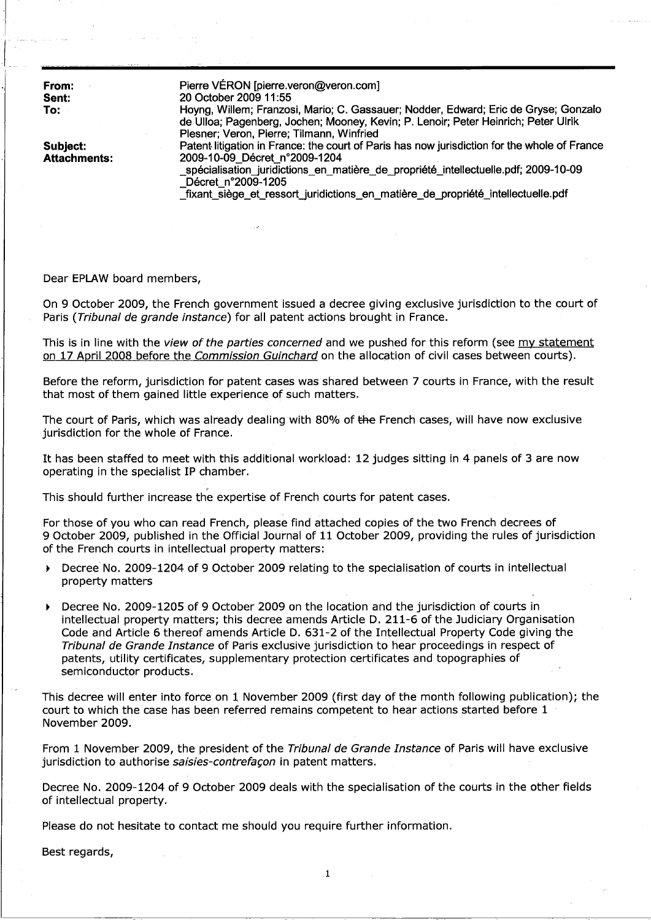| From:<br>Sent:<br>To:           | Pierre VÉRON [pierre.veron@veron.com]<br>20 October 2009 11:55<br>Hoyng, Willem; Franzosi, Mario; C. Gassauer; Nodder, Edward; Eric de Gryse; Gonzalo<br>de Ulloa; Pagenberg, Jochen; Mooney, Kevin; P. Lenoir; Peter Heinrich; Peter Ulrik<br>Plesner; Veron, Pierre; Tilmann, Winfried                                      |
|---------------------------------|-------------------------------------------------------------------------------------------------------------------------------------------------------------------------------------------------------------------------------------------------------------------------------------------------------------------------------|
| Subject:<br><b>Attachments:</b> | Patent litigation in France: the court of Paris has now jurisdiction for the whole of France<br>2009-10-09 Décret n°2009-1204<br>_spécialisation_juridictions_en_matière_de_propriété_intellectuelle.pdf; 2009-10-09<br>Décret n°2009-1205<br>fixant_siège_et_ressort_juridictions_en_matière_de_propriété_intellectuelle.pdf |

Dear EPLAW board members,

L

On 9 October 2009, the French government issued a decree giving exclusive jurisdiction to the court of Paris (Tribunal de grande instance) for all patent actions brought in France.

This is in line with the view of the parties concerned and we pushed for this reform (see my statement on 17 April 2008 before the Commission Guinchard on the allocation of civil cases between courts).

Before the reform, jurisdiction for patent cases was shared between 7 courts in France, with the result that most of them gained little experience of such matters.

The court of Paris, which was already dealing with 80% of the French cases, will have now exclusive jurisdiction for the whole of France.

It has been staffed to meet with this additional workload: 12 judges sitting in 4 panels of 3 are now operating in the specialist IP chamber.

, This should further increase the expertise of French courts for patent cases.

For those of you who can read French, please find attached copies of the two French decrees of 9 October 2009, published in the Official Journal of 11 October 2009, providing the rules of jurisdiction of the French courts in intellectual property matters:

- Decree No. 2009-1204 of 9 October 2009 relating to the specialisation of courts in intellectual property matters
- ~ Decree No. 2009-1205 of 9 October 2009 on the location and the jurisdiction of courts in intellectual property matters; this decree amends Article D. 211-6 of the Judiciary Organisation Code and Article 6 thereof amends Article D. 631-2 of the Intellectual Property Code giving the Tribunal de Grande Instance of Paris exclusive jurisdiction to hear proceedings in respect of patents, utility certificates, supplementary protection certificates and topographies of semiconductor products.

This decree will enter into force on 1 November 2009 (first day of the month following publication); the court to which the case has been referred remains competent to hear actions started before 1 November 2009.

From 1 November 2009, the president of the Tribunal de Grande Instance of Paris will have exclusive jurisdiction to authorise saisies-contrefaçon in patent matters.

Decree No. 2009-1204 of 9 October 2009 deals with the specialisation of the courts in the other fields of intellectual property.

Please do not hesitate to contact me should you require further information.

Best regards,

1